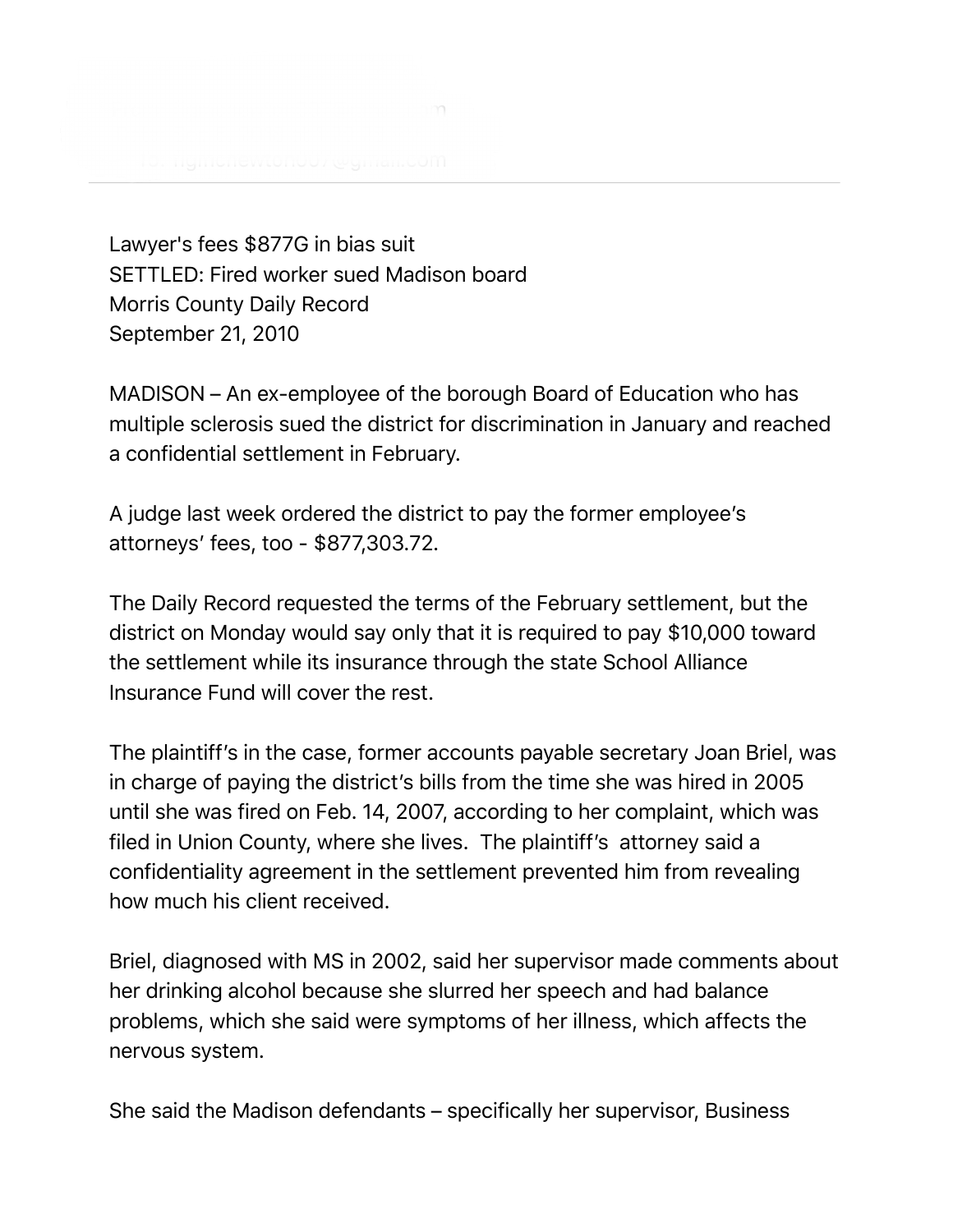

Lawyer's fees \$877G in bias suit SETTLED: Fired worker sued Madison board Morris County Daily Record September 21, 2010

MADISON – An ex-employee of the borough Board of Education who has multiple sclerosis sued the district for discrimination in January and reached a confidential settlement in February.

A judge last week ordered the district to pay the former employee's attorneys' fees, too - \$877,303.72.

The Daily Record requested the terms of the February settlement, but the district on Monday would say only that it is required to pay \$10,000 toward the settlement while its insurance through the state School Alliance Insurance Fund will cover the rest.

The plaintiff's in the case, former accounts payable secretary Joan Briel, was in charge of paying the district's bills from the time she was hired in 2005 until she was fired on Feb. 14, 2007, according to her complaint, which was filed in Union County, where she lives. The plaintiff's attorney said a confidentiality agreement in the settlement prevented him from revealing how much his client received.

Briel, diagnosed with MS in 2002, said her supervisor made comments about her drinking alcohol because she slurred her speech and had balance problems, which she said were symptoms of her illness, which affects the nervous system.

She said the Madison defendants – specifically her supervisor, Business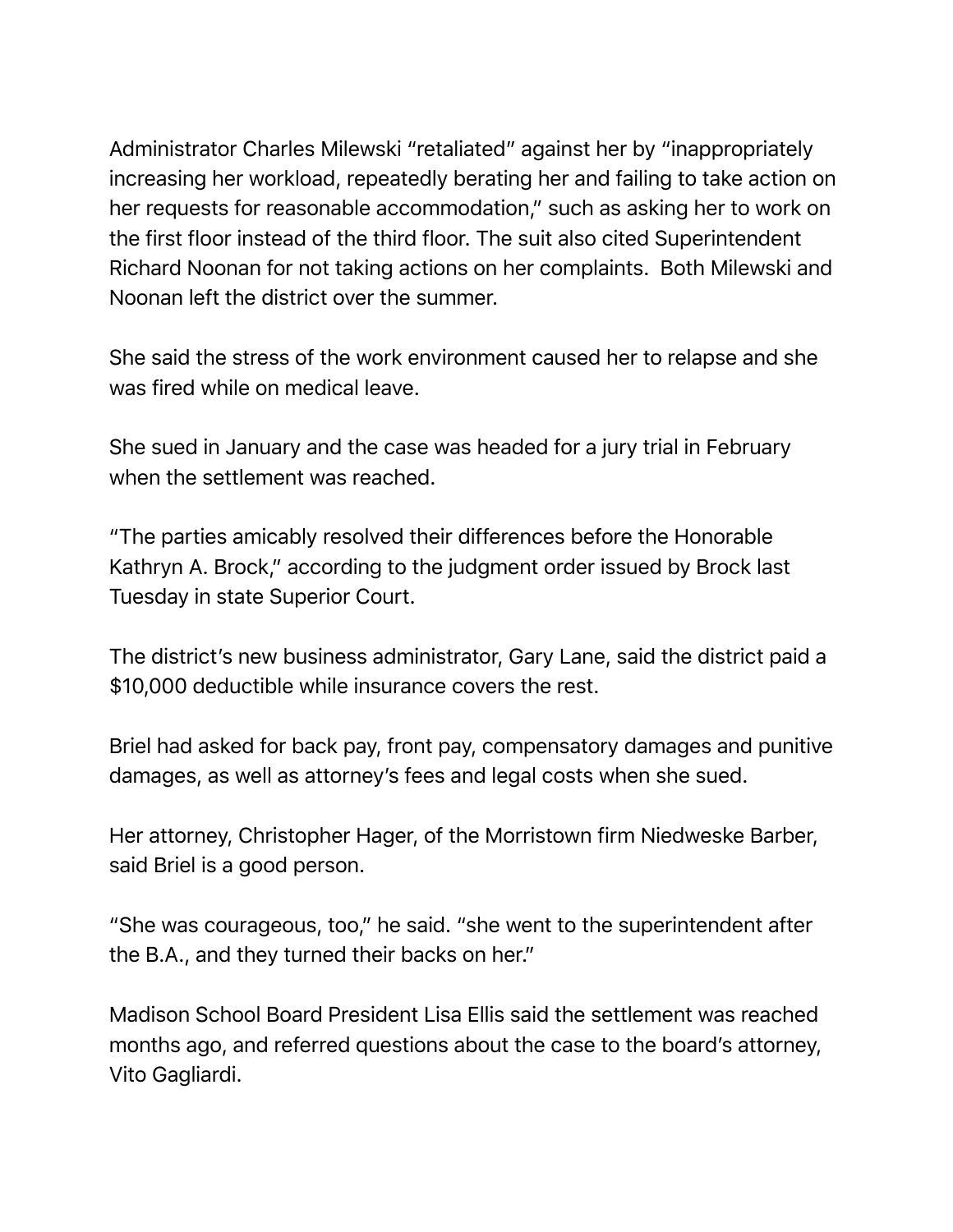Administrator Charles Milewski "retaliated" against her by "inappropriately increasing her workload, repeatedly berating her and failing to take action on her requests for reasonable accommodation," such as asking her to work on the first floor instead of the third floor. The suit also cited Superintendent Richard Noonan for not taking actions on her complaints. Both Milewski and Noonan left the district over the summer.

She said the stress of the work environment caused her to relapse and she was fired while on medical leave.

She sued in January and the case was headed for a jury trial in February when the settlement was reached.

"The parties amicably resolved their differences before the Honorable Kathryn A. Brock," according to the judgment order issued by Brock last Tuesday in state Superior Court.

The district's new business administrator, Gary Lane, said the district paid a \$10,000 deductible while insurance covers the rest.

Briel had asked for back pay, front pay, compensatory damages and punitive damages, as well as attorney's fees and legal costs when she sued.

Her attorney, Christopher Hager, of the Morristown firm Niedweske Barber, said Briel is a good person.

"She was courageous, too," he said. "she went to the superintendent after the B.A., and they turned their backs on her."

Madison School Board President Lisa Ellis said the settlement was reached months ago, and referred questions about the case to the board's attorney, Vito Gagliardi.